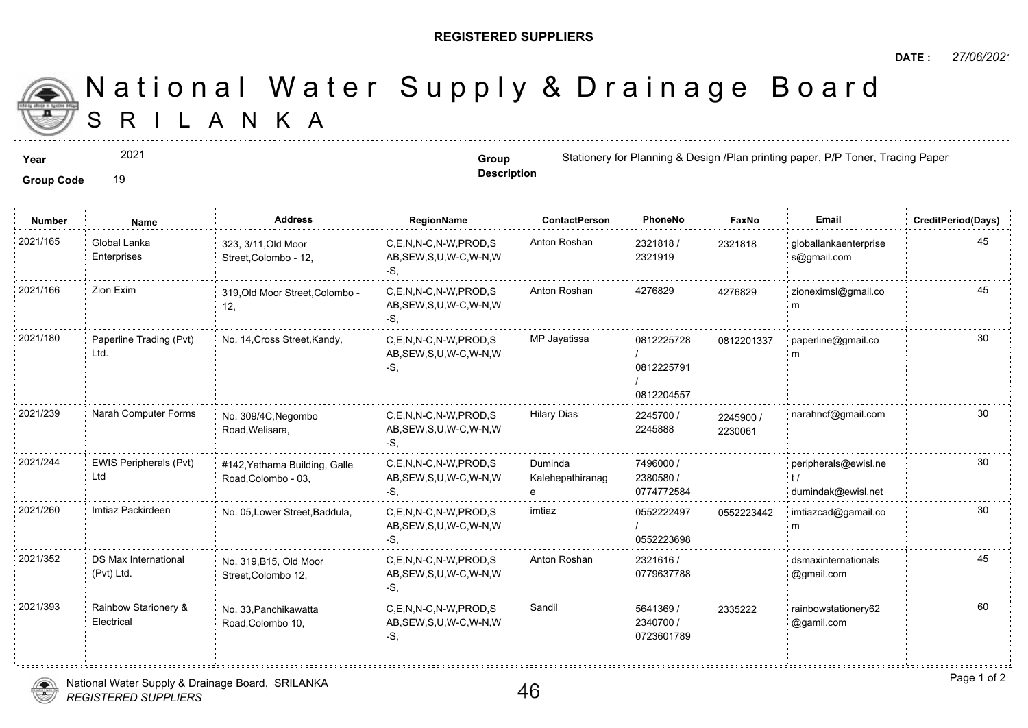## **REGISTERED SUPPLIERS**

**Description**

A N K A National Water Supply & Drainage

**Year Group 1992 2021 Group** *Stationery for Planning & Design /Plan* **printing paper, Printing Paper, Printing Paper, Paper, Paper, Paper, Paper, Paper, Paper, Paper, Paper, Paper, Paper, Paper, Paper, Paper, Paper, Pap** 

Group Code 19

2021

**Number Name Address RegionName ContactPerson PhoneNo FaxNo Email CreditPeriod(Days)** 2321818 / 2321919 2021/165 : Global Lanka 323, 3/11,Old Moor C,E,N,N-C,N-W,PROD,S Anton Roshan 2321818 / 23218 AB,SEW,S,U,W-C,W-N,W -S, 323, 3/11,Old Moor Street,Colombo - 12, Global Lanka Enterprises 23218<sup></sup> C,E,N,N-C,N-W,PROD,S Anton Roshan 4276829 AB,SEW,S,U,W-C,W-N,W -S, 2021/166 Zion Exim 319,Old Moor Street,Colombo - C,E,N,N-C,N-W,PROD,S Anton Roshan 4276829 427682 12, 427682 0812225728 / 0812225791 / 0812204557 C,E,N,N-C,N-W,PROD,S MP Jayatissa AB,SEW,S,U,W-C,W-N,W -S, 2021/180 Paperline Trading (Pvt) No. 14, Cross Street,Kandy, C,E,N,N-C,N-W,PROD,S MP Jayatissa 0812225728 081220 Ltd. 081220 2245700 / 22459 2245888 C,E,N,N-C,N-W,PROD,S Hilary Dias AB,SEW,S,U,W-C,W-N,W -S, No. 309/4C,Negombo Road,Welisara, 2021/239 Narah Computer Forms No. 309/4C,Negombo C,E,N,N-C,N-W,PROD,S Hilary Dias 2245700 / 224590 223006 7496000 / 2380580 / 0774772584 Duminda Kalehepathiranag e C,E,N,N-C,N-W,PROD,S AB,SEW,S,U,W-C,W-N,W -S, 2021/244 EWIS Peripherals (Pvt) #142,Yathama Building, Galle C,E,N,N-C,N-W,PROD,S Duminda 7496000 / Road,Colombo - 03, EWIS Peripherals (Pvt) Ltd 0552222497 / 0552223698 C,E,N,N-C,N-W,PROD,S imtiaz AB,SEW,S,U,W-C,W-N,W -S, 2021/260 Imtiaz Packirdeen No. 05, Lower Street, Baddula, 055222 2321616 / 0779637788 2021/352 DS Max International No. 319,B15, Old Moor C,E,N,N-C,N-W,PROD,S Anton Roshan 2321616 / AB,SEW,S,U,W-C,W-N,W -S, No. 319,B15, Old Moor Street,Colombo 12, DS Max International (Pvt) Ltd. 5641369 / 2340700 / 0723601789 2021/393 Rainbow Starionery & No. 33,Panchikawatta C,E,N,N-C,N-W,PROD,S Sandil 6641369 / 233522 AB,SEW,S,U,W-C,W-N,W -S, No. 33,Panchikawatta Road,Colombo 10, Rainbow Starionery & **Electrical** 233522